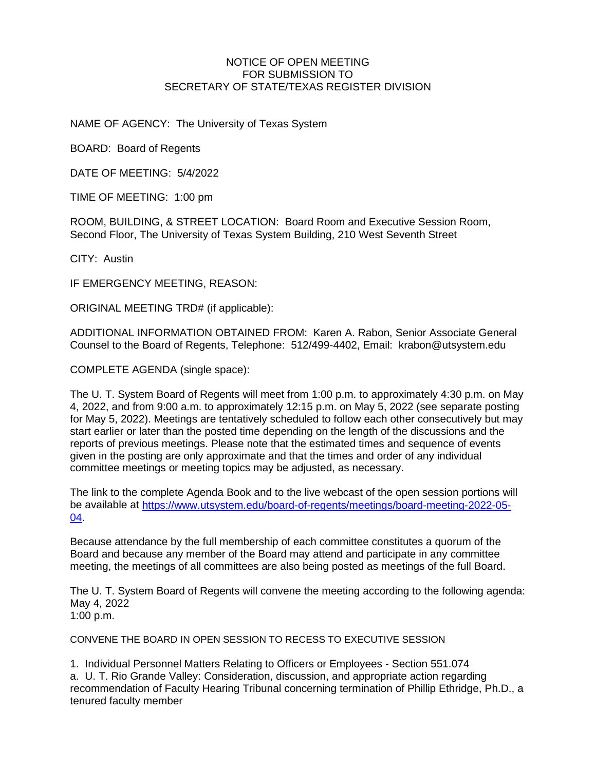## NOTICE OF OPEN MEETING FOR SUBMISSION TO SECRETARY OF STATE/TEXAS REGISTER DIVISION

NAME OF AGENCY: The University of Texas System

BOARD: Board of Regents

DATE OF MEETING: 5/4/2022

TIME OF MEETING: 1:00 pm

ROOM, BUILDING, & STREET LOCATION: Board Room and Executive Session Room, Second Floor, The University of Texas System Building, 210 West Seventh Street

CITY: Austin

IF EMERGENCY MEETING, REASON:

ORIGINAL MEETING TRD# (if applicable):

ADDITIONAL INFORMATION OBTAINED FROM: Karen A. Rabon, Senior Associate General Counsel to the Board of Regents, Telephone: 512/499-4402, Email: krabon@utsystem.edu

COMPLETE AGENDA (single space):

The U. T. System Board of Regents will meet from 1:00 p.m. to approximately 4:30 p.m. on May 4, 2022, and from 9:00 a.m. to approximately 12:15 p.m. on May 5, 2022 (see separate posting for May 5, 2022). Meetings are tentatively scheduled to follow each other consecutively but may start earlier or later than the posted time depending on the length of the discussions and the reports of previous meetings. Please note that the estimated times and sequence of events given in the posting are only approximate and that the times and order of any individual committee meetings or meeting topics may be adjusted, as necessary.

The link to the complete Agenda Book and to the live webcast of the open session portions will be available at [https://www.utsystem.edu/board-of-regents/meetings/board-meeting-2022-05-](https://www.utsystem.edu/board-of-regents/meetings/board-meeting-2022-05-04) [04.](https://www.utsystem.edu/board-of-regents/meetings/board-meeting-2022-05-04)

Because attendance by the full membership of each committee constitutes a quorum of the Board and because any member of the Board may attend and participate in any committee meeting, the meetings of all committees are also being posted as meetings of the full Board.

The U. T. System Board of Regents will convene the meeting according to the following agenda: May 4, 2022 1:00 p.m.

CONVENE THE BOARD IN OPEN SESSION TO RECESS TO EXECUTIVE SESSION

1. Individual Personnel Matters Relating to Officers or Employees - Section 551.074 a. U. T. Rio Grande Valley: Consideration, discussion, and appropriate action regarding recommendation of Faculty Hearing Tribunal concerning termination of Phillip Ethridge, Ph.D., a tenured faculty member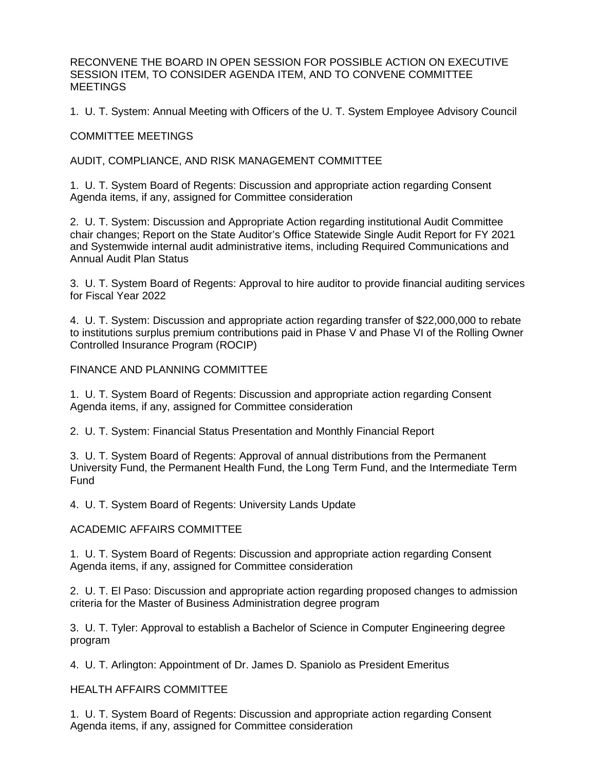RECONVENE THE BOARD IN OPEN SESSION FOR POSSIBLE ACTION ON EXECUTIVE SESSION ITEM, TO CONSIDER AGENDA ITEM, AND TO CONVENE COMMITTEE **MEETINGS** 

1. U. T. System: Annual Meeting with Officers of the U. T. System Employee Advisory Council

COMMITTEE MEETINGS

AUDIT, COMPLIANCE, AND RISK MANAGEMENT COMMITTEE

1. U. T. System Board of Regents: Discussion and appropriate action regarding Consent Agenda items, if any, assigned for Committee consideration

2. U. T. System: Discussion and Appropriate Action regarding institutional Audit Committee chair changes; Report on the State Auditor's Office Statewide Single Audit Report for FY 2021 and Systemwide internal audit administrative items, including Required Communications and Annual Audit Plan Status

3. U. T. System Board of Regents: Approval to hire auditor to provide financial auditing services for Fiscal Year 2022

4. U. T. System: Discussion and appropriate action regarding transfer of \$22,000,000 to rebate to institutions surplus premium contributions paid in Phase V and Phase VI of the Rolling Owner Controlled Insurance Program (ROCIP)

FINANCE AND PLANNING COMMITTEE

1. U. T. System Board of Regents: Discussion and appropriate action regarding Consent Agenda items, if any, assigned for Committee consideration

2. U. T. System: Financial Status Presentation and Monthly Financial Report

3. U. T. System Board of Regents: Approval of annual distributions from the Permanent University Fund, the Permanent Health Fund, the Long Term Fund, and the Intermediate Term Fund

4. U. T. System Board of Regents: University Lands Update

ACADEMIC AFFAIRS COMMITTEE

1. U. T. System Board of Regents: Discussion and appropriate action regarding Consent Agenda items, if any, assigned for Committee consideration

2. U. T. El Paso: Discussion and appropriate action regarding proposed changes to admission criteria for the Master of Business Administration degree program

3. U. T. Tyler: Approval to establish a Bachelor of Science in Computer Engineering degree program

4. U. T. Arlington: Appointment of Dr. James D. Spaniolo as President Emeritus

HEALTH AFFAIRS COMMITTEE

1. U. T. System Board of Regents: Discussion and appropriate action regarding Consent Agenda items, if any, assigned for Committee consideration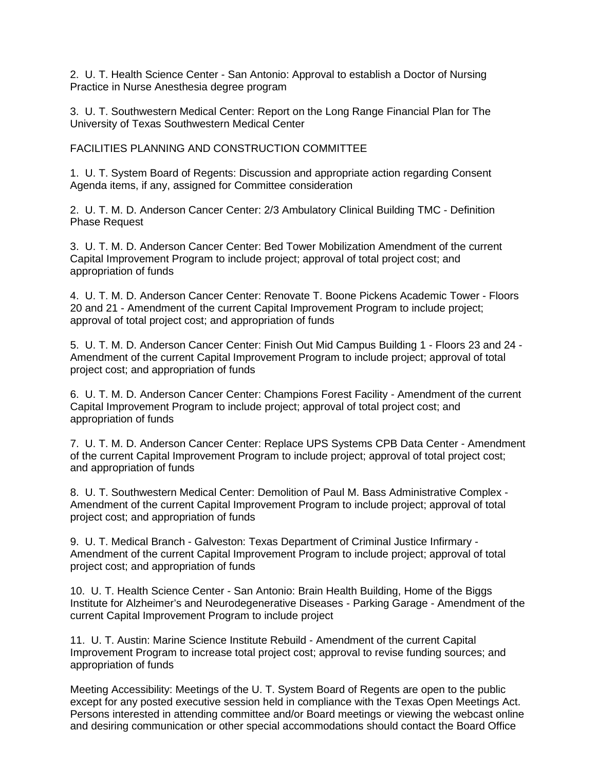2. U. T. Health Science Center - San Antonio: Approval to establish a Doctor of Nursing Practice in Nurse Anesthesia degree program

3. U. T. Southwestern Medical Center: Report on the Long Range Financial Plan for The University of Texas Southwestern Medical Center

FACILITIES PLANNING AND CONSTRUCTION COMMITTEE

1. U. T. System Board of Regents: Discussion and appropriate action regarding Consent Agenda items, if any, assigned for Committee consideration

2. U. T. M. D. Anderson Cancer Center: 2/3 Ambulatory Clinical Building TMC - Definition Phase Request

3. U. T. M. D. Anderson Cancer Center: Bed Tower Mobilization Amendment of the current Capital Improvement Program to include project; approval of total project cost; and appropriation of funds

4. U. T. M. D. Anderson Cancer Center: Renovate T. Boone Pickens Academic Tower - Floors 20 and 21 - Amendment of the current Capital Improvement Program to include project; approval of total project cost; and appropriation of funds

5. U. T. M. D. Anderson Cancer Center: Finish Out Mid Campus Building 1 - Floors 23 and 24 - Amendment of the current Capital Improvement Program to include project; approval of total project cost; and appropriation of funds

6. U. T. M. D. Anderson Cancer Center: Champions Forest Facility - Amendment of the current Capital Improvement Program to include project; approval of total project cost; and appropriation of funds

7. U. T. M. D. Anderson Cancer Center: Replace UPS Systems CPB Data Center - Amendment of the current Capital Improvement Program to include project; approval of total project cost; and appropriation of funds

8. U. T. Southwestern Medical Center: Demolition of Paul M. Bass Administrative Complex - Amendment of the current Capital Improvement Program to include project; approval of total project cost; and appropriation of funds

9. U. T. Medical Branch - Galveston: Texas Department of Criminal Justice Infirmary - Amendment of the current Capital Improvement Program to include project; approval of total project cost; and appropriation of funds

10. U. T. Health Science Center - San Antonio: Brain Health Building, Home of the Biggs Institute for Alzheimer's and Neurodegenerative Diseases - Parking Garage - Amendment of the current Capital Improvement Program to include project

11. U. T. Austin: Marine Science Institute Rebuild - Amendment of the current Capital Improvement Program to increase total project cost; approval to revise funding sources; and appropriation of funds

Meeting Accessibility: Meetings of the U. T. System Board of Regents are open to the public except for any posted executive session held in compliance with the Texas Open Meetings Act. Persons interested in attending committee and/or Board meetings or viewing the webcast online and desiring communication or other special accommodations should contact the Board Office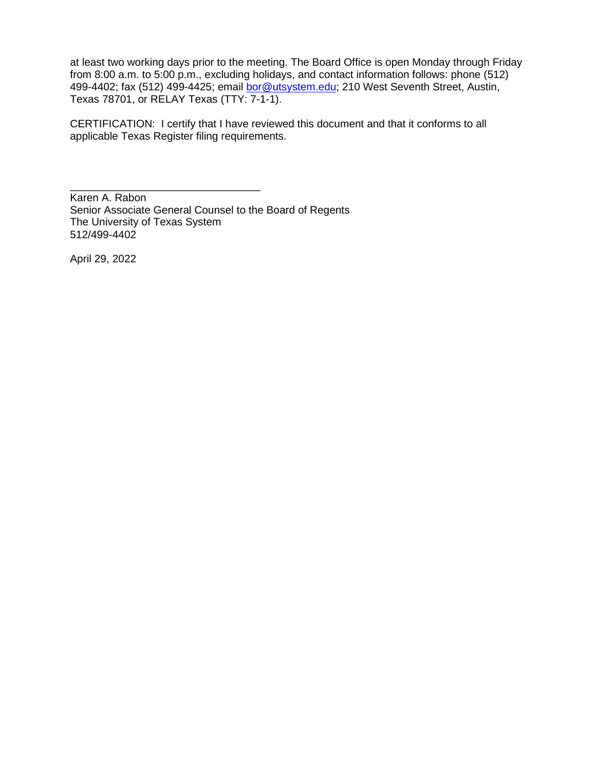at least two working days prior to the meeting. The Board Office is open Monday through Friday from 8:00 a.m. to 5:00 p.m., excluding holidays, and contact information follows: phone (512) 499-4402; fax (512) 499-4425; email [bor@utsystem.edu;](mailto:bor@utsystem.edu) 210 West Seventh Street, Austin, Texas 78701, or RELAY Texas (TTY: 7-1-1).

CERTIFICATION: I certify that I have reviewed this document and that it conforms to all applicable Texas Register filing requirements.

Karen A. Rabon Senior Associate General Counsel to the Board of Regents The University of Texas System 512/499-4402

\_\_\_\_\_\_\_\_\_\_\_\_\_\_\_\_\_\_\_\_\_\_\_\_\_\_\_\_\_\_\_\_

April 29, 2022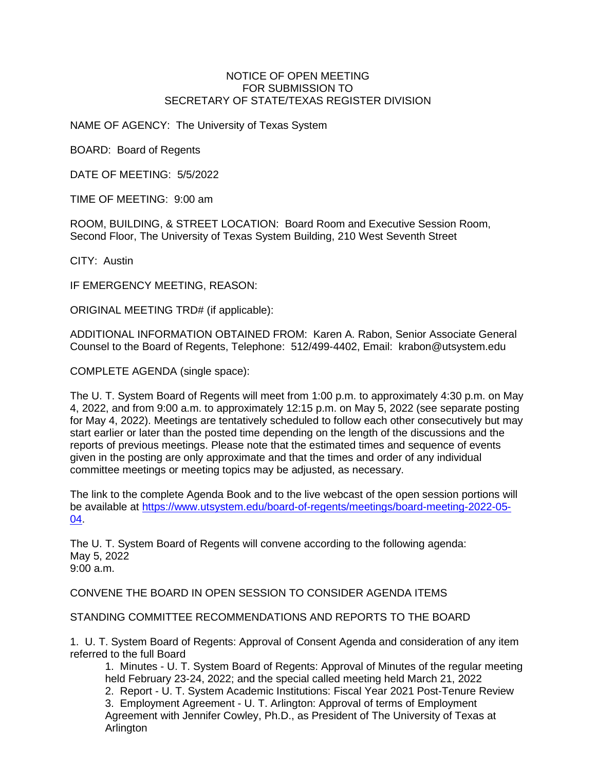## NOTICE OF OPEN MEETING FOR SUBMISSION TO SECRETARY OF STATE/TEXAS REGISTER DIVISION

NAME OF AGENCY: The University of Texas System

BOARD: Board of Regents

DATE OF MEETING: 5/5/2022

TIME OF MEETING: 9:00 am

ROOM, BUILDING, & STREET LOCATION: Board Room and Executive Session Room, Second Floor, The University of Texas System Building, 210 West Seventh Street

CITY: Austin

IF EMERGENCY MEETING, REASON:

ORIGINAL MEETING TRD# (if applicable):

ADDITIONAL INFORMATION OBTAINED FROM: Karen A. Rabon, Senior Associate General Counsel to the Board of Regents, Telephone: 512/499-4402, Email: krabon@utsystem.edu

COMPLETE AGENDA (single space):

The U. T. System Board of Regents will meet from 1:00 p.m. to approximately 4:30 p.m. on May 4, 2022, and from 9:00 a.m. to approximately 12:15 p.m. on May 5, 2022 (see separate posting for May 4, 2022). Meetings are tentatively scheduled to follow each other consecutively but may start earlier or later than the posted time depending on the length of the discussions and the reports of previous meetings. Please note that the estimated times and sequence of events given in the posting are only approximate and that the times and order of any individual committee meetings or meeting topics may be adjusted, as necessary.

The link to the complete Agenda Book and to the live webcast of the open session portions will be available at [https://www.utsystem.edu/board-of-regents/meetings/board-meeting-2022-05-](https://www.utsystem.edu/board-of-regents/meetings/board-meeting-2022-05-04) [04.](https://www.utsystem.edu/board-of-regents/meetings/board-meeting-2022-05-04)

The U. T. System Board of Regents will convene according to the following agenda: May 5, 2022 9:00 a.m.

CONVENE THE BOARD IN OPEN SESSION TO CONSIDER AGENDA ITEMS

STANDING COMMITTEE RECOMMENDATIONS AND REPORTS TO THE BOARD

1. U. T. System Board of Regents: Approval of Consent Agenda and consideration of any item referred to the full Board

1. Minutes - U. T. System Board of Regents: Approval of Minutes of the regular meeting held February 23-24, 2022; and the special called meeting held March 21, 2022 2. Report - U. T. System Academic Institutions: Fiscal Year 2021 Post-Tenure Review

3. Employment Agreement - U. T. Arlington: Approval of terms of Employment Agreement with Jennifer Cowley, Ph.D., as President of The University of Texas at Arlington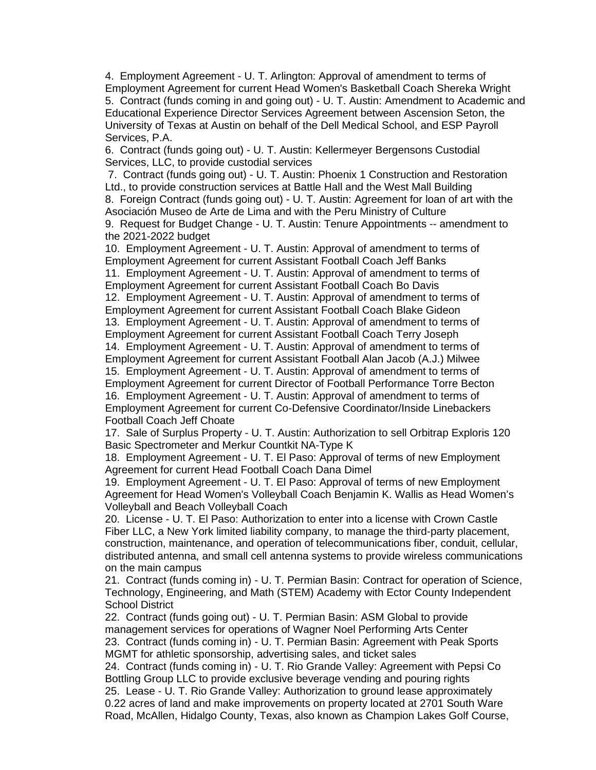4. Employment Agreement - U. T. Arlington: Approval of amendment to terms of Employment Agreement for current Head Women's Basketball Coach Shereka Wright 5. Contract (funds coming in and going out) - U. T. Austin: Amendment to Academic and Educational Experience Director Services Agreement between Ascension Seton, the University of Texas at Austin on behalf of the Dell Medical School, and ESP Payroll Services, P.A.

6. Contract (funds going out) - U. T. Austin: Kellermeyer Bergensons Custodial Services, LLC, to provide custodial services

7. Contract (funds going out) - U. T. Austin: Phoenix 1 Construction and Restoration Ltd., to provide construction services at Battle Hall and the West Mall Building 8. Foreign Contract (funds going out) - U. T. Austin: Agreement for loan of art with the Asociación Museo de Arte de Lima and with the Peru Ministry of Culture

9. Request for Budget Change - U. T. Austin: Tenure Appointments -- amendment to the 2021-2022 budget

10. Employment Agreement - U. T. Austin: Approval of amendment to terms of Employment Agreement for current Assistant Football Coach Jeff Banks 11. Employment Agreement - U. T. Austin: Approval of amendment to terms of Employment Agreement for current Assistant Football Coach Bo Davis 12. Employment Agreement - U. T. Austin: Approval of amendment to terms of Employment Agreement for current Assistant Football Coach Blake Gideon 13. Employment Agreement - U. T. Austin: Approval of amendment to terms of Employment Agreement for current Assistant Football Coach Terry Joseph 14. Employment Agreement - U. T. Austin: Approval of amendment to terms of Employment Agreement for current Assistant Football Alan Jacob (A.J.) Milwee 15. Employment Agreement - U. T. Austin: Approval of amendment to terms of Employment Agreement for current Director of Football Performance Torre Becton 16. Employment Agreement - U. T. Austin: Approval of amendment to terms of Employment Agreement for current Co-Defensive Coordinator/Inside Linebackers Football Coach Jeff Choate

17. Sale of Surplus Property - U. T. Austin: Authorization to sell Orbitrap Exploris 120 Basic Spectrometer and Merkur Countkit NA-Type K

18. Employment Agreement - U. T. El Paso: Approval of terms of new Employment Agreement for current Head Football Coach Dana Dimel

19. Employment Agreement - U. T. El Paso: Approval of terms of new Employment Agreement for Head Women's Volleyball Coach Benjamin K. Wallis as Head Women's Volleyball and Beach Volleyball Coach

20. License - U. T. El Paso: Authorization to enter into a license with Crown Castle Fiber LLC, a New York limited liability company, to manage the third-party placement, construction, maintenance, and operation of telecommunications fiber, conduit, cellular, distributed antenna, and small cell antenna systems to provide wireless communications on the main campus

21. Contract (funds coming in) - U. T. Permian Basin: Contract for operation of Science, Technology, Engineering, and Math (STEM) Academy with Ector County Independent School District

22. Contract (funds going out) - U. T. Permian Basin: ASM Global to provide management services for operations of Wagner Noel Performing Arts Center 23. Contract (funds coming in) - U. T. Permian Basin: Agreement with Peak Sports MGMT for athletic sponsorship, advertising sales, and ticket sales

24. Contract (funds coming in) - U. T. Rio Grande Valley: Agreement with Pepsi Co Bottling Group LLC to provide exclusive beverage vending and pouring rights 25. Lease - U. T. Rio Grande Valley: Authorization to ground lease approximately 0.22 acres of land and make improvements on property located at 2701 South Ware Road, McAllen, Hidalgo County, Texas, also known as Champion Lakes Golf Course,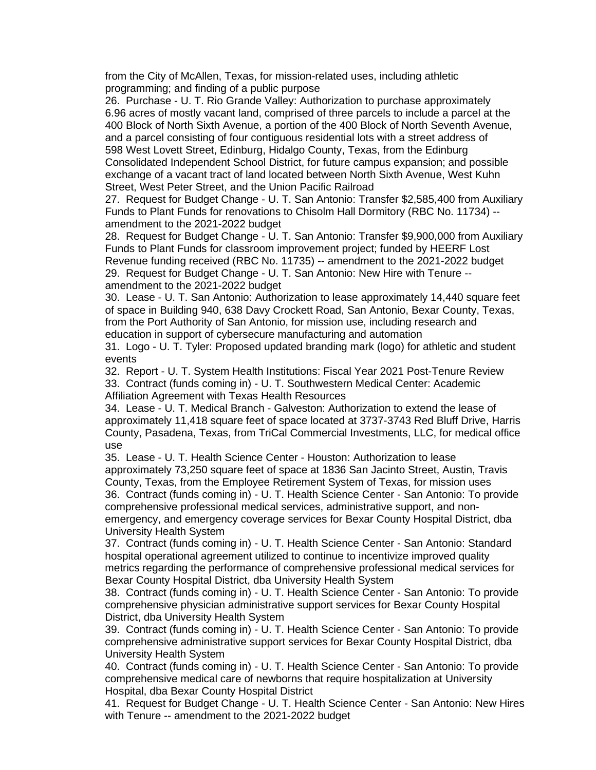from the City of McAllen, Texas, for mission-related uses, including athletic programming; and finding of a public purpose

26. Purchase - U. T. Rio Grande Valley: Authorization to purchase approximately 6.96 acres of mostly vacant land, comprised of three parcels to include a parcel at the 400 Block of North Sixth Avenue, a portion of the 400 Block of North Seventh Avenue, and a parcel consisting of four contiguous residential lots with a street address of 598 West Lovett Street, Edinburg, Hidalgo County, Texas, from the Edinburg Consolidated Independent School District, for future campus expansion; and possible exchange of a vacant tract of land located between North Sixth Avenue, West Kuhn Street, West Peter Street, and the Union Pacific Railroad

27. Request for Budget Change - U. T. San Antonio: Transfer \$2,585,400 from Auxiliary Funds to Plant Funds for renovations to Chisolm Hall Dormitory (RBC No. 11734) - amendment to the 2021-2022 budget

28. Request for Budget Change - U. T. San Antonio: Transfer \$9,900,000 from Auxiliary Funds to Plant Funds for classroom improvement project; funded by HEERF Lost Revenue funding received (RBC No. 11735) -- amendment to the 2021-2022 budget 29. Request for Budget Change - U. T. San Antonio: New Hire with Tenure - amendment to the 2021-2022 budget

30. Lease - U. T. San Antonio: Authorization to lease approximately 14,440 square feet of space in Building 940, 638 Davy Crockett Road, San Antonio, Bexar County, Texas, from the Port Authority of San Antonio, for mission use, including research and education in support of cybersecure manufacturing and automation

31. Logo - U. T. Tyler: Proposed updated branding mark (logo) for athletic and student events

32. Report - U. T. System Health Institutions: Fiscal Year 2021 Post-Tenure Review 33. Contract (funds coming in) - U. T. Southwestern Medical Center: Academic Affiliation Agreement with Texas Health Resources

34. Lease - U. T. Medical Branch - Galveston: Authorization to extend the lease of approximately 11,418 square feet of space located at 3737-3743 Red Bluff Drive, Harris County, Pasadena, Texas, from TriCal Commercial Investments, LLC, for medical office use

35. Lease - U. T. Health Science Center - Houston: Authorization to lease approximately 73,250 square feet of space at 1836 San Jacinto Street, Austin, Travis County, Texas, from the Employee Retirement System of Texas, for mission uses 36. Contract (funds coming in) - U. T. Health Science Center - San Antonio: To provide comprehensive professional medical services, administrative support, and nonemergency, and emergency coverage services for Bexar County Hospital District, dba University Health System

37. Contract (funds coming in) - U. T. Health Science Center - San Antonio: Standard hospital operational agreement utilized to continue to incentivize improved quality metrics regarding the performance of comprehensive professional medical services for Bexar County Hospital District, dba University Health System

38. Contract (funds coming in) - U. T. Health Science Center - San Antonio: To provide comprehensive physician administrative support services for Bexar County Hospital District, dba University Health System

39. Contract (funds coming in) - U. T. Health Science Center - San Antonio: To provide comprehensive administrative support services for Bexar County Hospital District, dba University Health System

40. Contract (funds coming in) - U. T. Health Science Center - San Antonio: To provide comprehensive medical care of newborns that require hospitalization at University Hospital, dba Bexar County Hospital District

41. Request for Budget Change - U. T. Health Science Center - San Antonio: New Hires with Tenure -- amendment to the 2021-2022 budget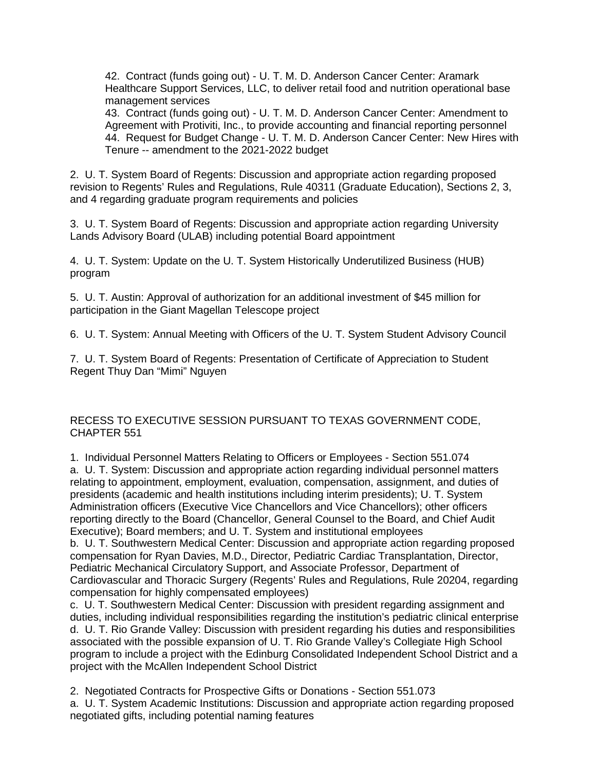42. Contract (funds going out) - U. T. M. D. Anderson Cancer Center: Aramark Healthcare Support Services, LLC, to deliver retail food and nutrition operational base management services

43. Contract (funds going out) - U. T. M. D. Anderson Cancer Center: Amendment to Agreement with Protiviti, Inc., to provide accounting and financial reporting personnel 44. Request for Budget Change - U. T. M. D. Anderson Cancer Center: New Hires with Tenure -- amendment to the 2021-2022 budget

2. U. T. System Board of Regents: Discussion and appropriate action regarding proposed revision to Regents' Rules and Regulations, Rule 40311 (Graduate Education), Sections 2, 3, and 4 regarding graduate program requirements and policies

3. U. T. System Board of Regents: Discussion and appropriate action regarding University Lands Advisory Board (ULAB) including potential Board appointment

4. U. T. System: Update on the U. T. System Historically Underutilized Business (HUB) program

5. U. T. Austin: Approval of authorization for an additional investment of \$45 million for participation in the Giant Magellan Telescope project

6. U. T. System: Annual Meeting with Officers of the U. T. System Student Advisory Council

7. U. T. System Board of Regents: Presentation of Certificate of Appreciation to Student Regent Thuy Dan "Mimi" Nguyen

RECESS TO EXECUTIVE SESSION PURSUANT TO TEXAS GOVERNMENT CODE, CHAPTER 551

1. Individual Personnel Matters Relating to Officers or Employees - Section 551.074 a. U. T. System: Discussion and appropriate action regarding individual personnel matters relating to appointment, employment, evaluation, compensation, assignment, and duties of presidents (academic and health institutions including interim presidents); U. T. System Administration officers (Executive Vice Chancellors and Vice Chancellors); other officers reporting directly to the Board (Chancellor, General Counsel to the Board, and Chief Audit Executive); Board members; and U. T. System and institutional employees b. U. T. Southwestern Medical Center: Discussion and appropriate action regarding proposed compensation for Ryan Davies, M.D., Director, Pediatric Cardiac Transplantation, Director, Pediatric Mechanical Circulatory Support, and Associate Professor, Department of Cardiovascular and Thoracic Surgery (Regents' Rules and Regulations, Rule 20204, regarding compensation for highly compensated employees)

c. U. T. Southwestern Medical Center: Discussion with president regarding assignment and duties, including individual responsibilities regarding the institution's pediatric clinical enterprise d. U. T. Rio Grande Valley: Discussion with president regarding his duties and responsibilities associated with the possible expansion of U. T. Rio Grande Valley's Collegiate High School program to include a project with the Edinburg Consolidated Independent School District and a project with the McAllen Independent School District

2. Negotiated Contracts for Prospective Gifts or Donations - Section 551.073 a. U. T. System Academic Institutions: Discussion and appropriate action regarding proposed negotiated gifts, including potential naming features